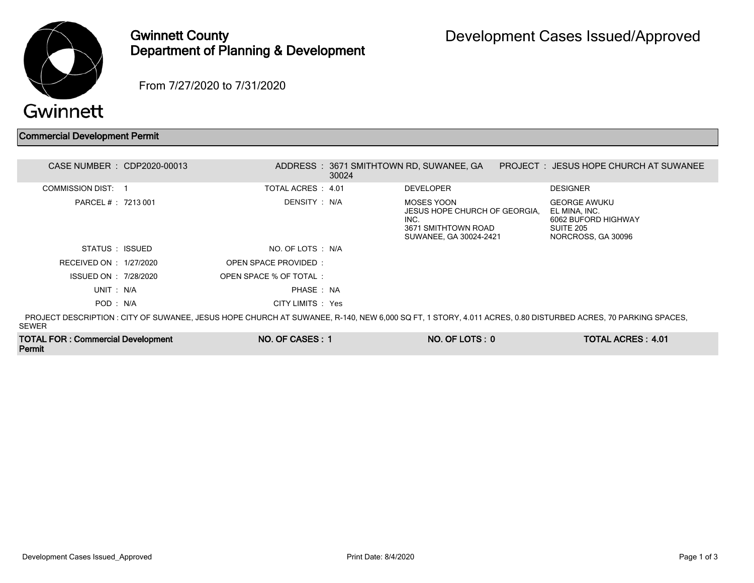

## Gwinnett County Department of Planning & Development

From 7/27/2020 to 7/31/2020

## Commercial Development Permit

TOTAL FOR : Commercial Development

Permit

| CASE NUMBER : CDP2020-00013 |                        | 30024 | ADDRESS: 3671 SMITHTOWN RD, SUWANEE, GA                                                              | PROJECT: JESUS HOPE CHURCH AT SUWANEE                                                                                                                       |
|-----------------------------|------------------------|-------|------------------------------------------------------------------------------------------------------|-------------------------------------------------------------------------------------------------------------------------------------------------------------|
| COMMISSION DIST: 1          | TOTAL ACRES : 4.01     |       | <b>DEVELOPER</b>                                                                                     | <b>DESIGNER</b>                                                                                                                                             |
| PARCEL # : 7213 001         | DENSITY : N/A          |       | MOSES YOON<br>JESUS HOPE CHURCH OF GEORGIA.<br>INC.<br>3671 SMITHTOWN ROAD<br>SUWANEE, GA 30024-2421 | <b>GEORGE AWUKU</b><br>EL MINA, INC.<br>6062 BUFORD HIGHWAY<br>SUITE 205<br>NORCROSS, GA 30096                                                              |
| STATUS : ISSUED             | NO. OF LOTS : N/A      |       |                                                                                                      |                                                                                                                                                             |
| RECEIVED ON : 1/27/2020     | OPEN SPACE PROVIDED:   |       |                                                                                                      |                                                                                                                                                             |
| ISSUED ON : 7/28/2020       | OPEN SPACE % OF TOTAL: |       |                                                                                                      |                                                                                                                                                             |
| UNIT: N/A                   | PHASE: NA              |       |                                                                                                      |                                                                                                                                                             |
| POD : N/A                   | CITY LIMITS : Yes      |       |                                                                                                      |                                                                                                                                                             |
| SEWER                       |                        |       |                                                                                                      | PROJECT DESCRIPTION : CITY OF SUWANEE, JESUS HOPE CHURCH AT SUWANEE, R-140, NEW 6,000 SQ FT, 1 STORY, 4.011 ACRES, 0.80 DISTURBED ACRES, 70 PARKING SPACES, |

NO. OF CASES : 1 NO. OF LOTS : 0 TOTAL ACRES : 4.01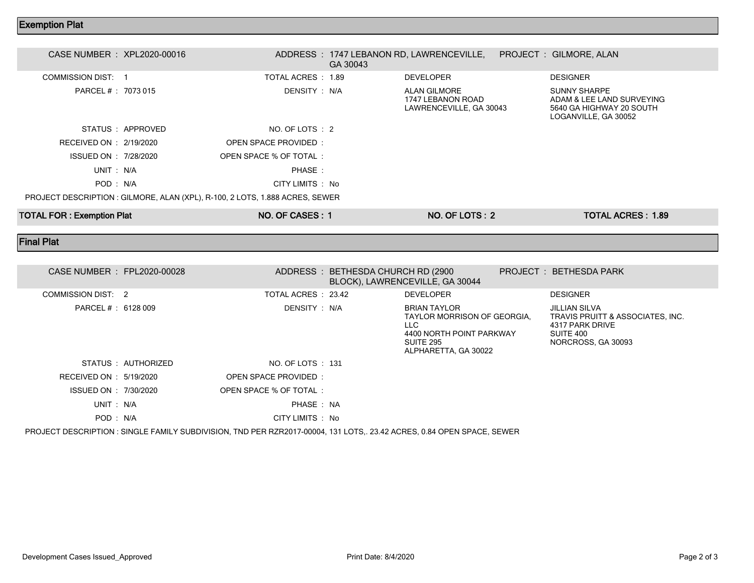## Exemption Plat

| <b>TOTAL FOR: Exemption Plat</b> |                   | NO. OF CASES: 1                                                              |          | NO. OF LOTS: 2                                               | <b>TOTAL ACRES: 1.89</b>                                                                             |  |
|----------------------------------|-------------------|------------------------------------------------------------------------------|----------|--------------------------------------------------------------|------------------------------------------------------------------------------------------------------|--|
|                                  |                   | PROJECT DESCRIPTION : GILMORE, ALAN (XPL), R-100, 2 LOTS, 1.888 ACRES, SEWER |          |                                                              |                                                                                                      |  |
| POD: N/A                         |                   | CITY LIMITS : No                                                             |          |                                                              |                                                                                                      |  |
| UNIT: N/A                        |                   | PHASE:                                                                       |          |                                                              |                                                                                                      |  |
| ISSUED ON : 7/28/2020            |                   | OPEN SPACE % OF TOTAL:                                                       |          |                                                              |                                                                                                      |  |
| RECEIVED ON : 2/19/2020          |                   | OPEN SPACE PROVIDED:                                                         |          |                                                              |                                                                                                      |  |
|                                  | STATUS : APPROVED | NO. OF LOTS : 2                                                              |          |                                                              |                                                                                                      |  |
| PARCEL # : 7073 015              |                   | DENSITY : N/A                                                                |          | ALAN GILMORE<br>1747 LEBANON ROAD<br>LAWRENCEVILLE, GA 30043 | <b>SUNNY SHARPE</b><br>ADAM & LEE LAND SURVEYING<br>5640 GA HIGHWAY 20 SOUTH<br>LOGANVILLE, GA 30052 |  |
| COMMISSION DIST: 1               |                   | TOTAL ACRES : 1.89                                                           |          | <b>DEVELOPER</b>                                             | <b>DESIGNER</b>                                                                                      |  |
| CASE NUMBER : XPL2020-00016      |                   |                                                                              | GA 30043 | ADDRESS: 1747 LEBANON RD, LAWRENCEVILLE,                     | PROJECT: GILMORE, ALAN                                                                               |  |
|                                  |                   |                                                                              |          |                                                              |                                                                                                      |  |

Final Plat

| CASE NUMBER : FPL2020-00028<br>ADDRESS: BETHESDA CHURCH RD (2900)<br>PROJECT: BETHESDA PARK<br>BLOCK), LAWRENCEVILLE, GA 30044<br><b>DESIGNER</b><br>COMMISSION DIST: 2<br>TOTAL ACRES 23.42<br><b>DEVELOPER</b><br>DENSITY : N/A<br>PARCEL # : 6128 009<br><b>BRIAN TAYLOR</b><br>JILLIAN SILVA<br>TRAVIS PRUITT & ASSOCIATES, INC.<br>TAYLOR MORRISON OF GEORGIA.<br>LLC.<br>4317 PARK DRIVE<br>SUITE 400<br>4400 NORTH POINT PARKWAY<br>SUITE 295<br>NORCROSS, GA 30093<br>ALPHARETTA, GA 30022<br>NO. OF LOTS : 131<br>STATUS : AUTHORIZED<br>RECEIVED ON : 5/19/2020<br>OPEN SPACE PROVIDED:<br>ISSUED ON : 7/30/2020<br>OPEN SPACE % OF TOTAL:<br>PHASE: NA<br>UNIT: N/A<br>POD: N/A<br>CITY LIMITS : No |  |  |  |  |
|----------------------------------------------------------------------------------------------------------------------------------------------------------------------------------------------------------------------------------------------------------------------------------------------------------------------------------------------------------------------------------------------------------------------------------------------------------------------------------------------------------------------------------------------------------------------------------------------------------------------------------------------------------------------------------------------------------------|--|--|--|--|
|                                                                                                                                                                                                                                                                                                                                                                                                                                                                                                                                                                                                                                                                                                                |  |  |  |  |
|                                                                                                                                                                                                                                                                                                                                                                                                                                                                                                                                                                                                                                                                                                                |  |  |  |  |
|                                                                                                                                                                                                                                                                                                                                                                                                                                                                                                                                                                                                                                                                                                                |  |  |  |  |
|                                                                                                                                                                                                                                                                                                                                                                                                                                                                                                                                                                                                                                                                                                                |  |  |  |  |
|                                                                                                                                                                                                                                                                                                                                                                                                                                                                                                                                                                                                                                                                                                                |  |  |  |  |
|                                                                                                                                                                                                                                                                                                                                                                                                                                                                                                                                                                                                                                                                                                                |  |  |  |  |
|                                                                                                                                                                                                                                                                                                                                                                                                                                                                                                                                                                                                                                                                                                                |  |  |  |  |
|                                                                                                                                                                                                                                                                                                                                                                                                                                                                                                                                                                                                                                                                                                                |  |  |  |  |

PROJECT DESCRIPTION : SINGLE FAMILY SUBDIVISION, TND PER RZR2017-00004, 131 LOTS,. 23.42 ACRES, 0.84 OPEN SPACE, SEWER